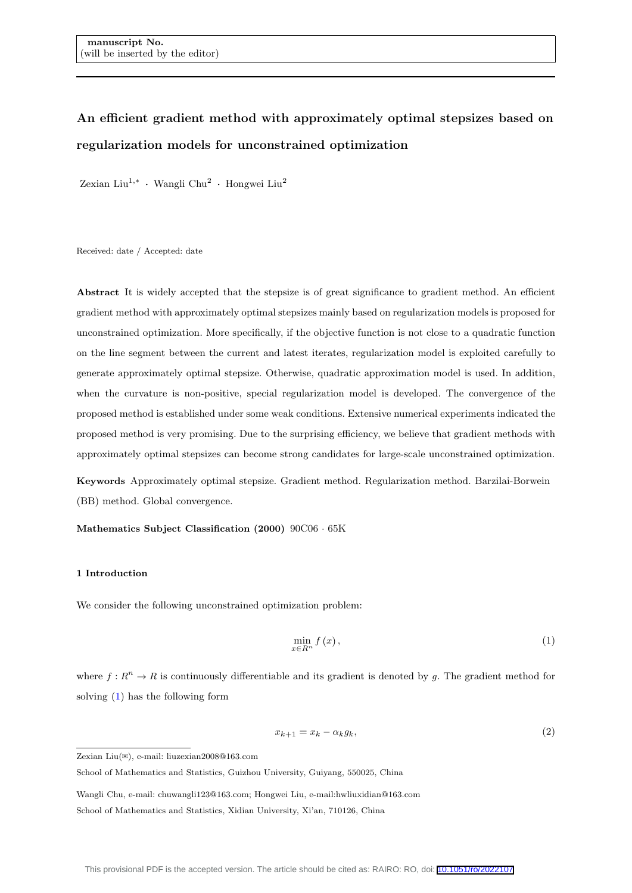# An efficient gradient method with approximately optimal stepsizes based on regularization models for unconstrained optimization

Zexian Liu<sup>1,\*</sup> · Wangli Chu<sup>2</sup> · Hongwei Liu<sup>2</sup>

Received: date / Accepted: date

Abstract It is widely accepted that the stepsize is of great significance to gradient method. An efficient gradient method with approximately optimal stepsizes mainly based on regularization models is proposed for unconstrained optimization. More specifically, if the objective function is not close to a quadratic function on the line segment between the current and latest iterates, regularization model is exploited carefully to generate approximately optimal stepsize. Otherwise, quadratic approximation model is used. In addition, when the curvature is non-positive, special regularization model is developed. The convergence of the proposed method is established under some weak conditions. Extensive numerical experiments indicated the proposed method is very promising. Due to the surprising efficiency, we believe that gradient methods with approximately optimal stepsizes can become strong candidates for large-scale unconstrained optimization.

Keywords Approximately optimal stepsize. Gradient method. Regularization method. Barzilai-Borwein (BB) method. Global convergence.

Mathematics Subject Classification (2000) 90C06 · 65K

#### 1 Introduction

We consider the following unconstrained optimization problem:

<span id="page-0-0"></span>
$$
\min_{x \in R^n} f(x),\tag{1}
$$

where  $f: R^n \to R$  is continuously differentiable and its gradient is denoted by g. The gradient method for solving [\(1\)](#page-0-0) has the following form

$$
x_{k+1} = x_k - \alpha_k g_k,\tag{2}
$$

Zexian Liu(✉), e-mail: liuzexian2008@163.com

School of Mathematics and Statistics, Guizhou University, Guiyang, 550025, China

Wangli Chu, e-mail: chuwangli123@163.com; Hongwei Liu, e-mail:hwliuxidian@163.com School of Mathematics and Statistics, Xidian University, Xi'an, 710126, China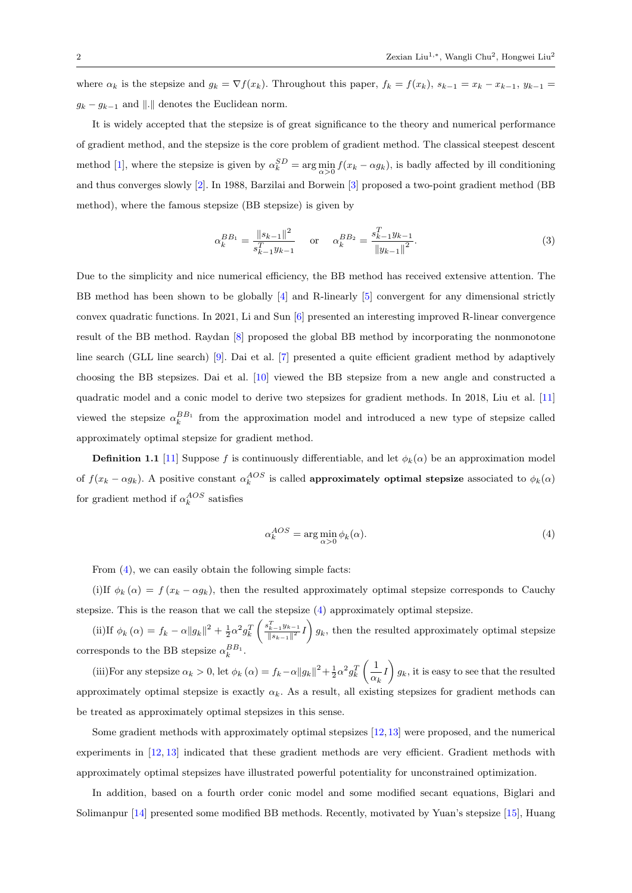where  $\alpha_k$  is the stepsize and  $g_k = \nabla f(x_k)$ . Throughout this paper,  $f_k = f(x_k)$ ,  $s_{k-1} = x_k - x_{k-1}$ ,  $y_{k-1} =$  $g_k - g_{k-1}$  and  $\|.\|$  denotes the Euclidean norm.

It is widely accepted that the stepsize is of great significance to the theory and numerical performance of gradient method, and the stepsize is the core problem of gradient method. The classical steepest descent method [\[1\]](#page-18-0), where the stepsize is given by  $\alpha_k^{SD} = \arg\min_{\alpha>0} f(x_k - \alpha g_k)$ , is badly affected by ill conditioning and thus converges slowly [\[2\]](#page-18-1). In 1988, Barzilai and Borwein [\[3\]](#page-18-2) proposed a two-point gradient method (BB method), where the famous stepsize (BB stepsize) is given by

$$
\alpha_k^{BB_1} = \frac{\|s_{k-1}\|^2}{s_{k-1}^T y_{k-1}} \quad \text{or} \quad \alpha_k^{BB_2} = \frac{s_{k-1}^T y_{k-1}}{\|y_{k-1}\|^2}.
$$
 (3)

Due to the simplicity and nice numerical efficiency, the BB method has received extensive attention. The BB method has been shown to be globally [\[4\]](#page-18-3) and R-linearly [\[5\]](#page-18-4) convergent for any dimensional strictly convex quadratic functions. In 2021, Li and Sun [\[6\]](#page-18-5) presented an interesting improved R-linear convergence result of the BB method. Raydan [\[8\]](#page-18-6) proposed the global BB method by incorporating the nonmonotone line search (GLL line search) [\[9\]](#page-18-7). Dai et al. [\[7\]](#page-18-8) presented a quite efficient gradient method by adaptively choosing the BB stepsizes. Dai et al. [\[10\]](#page-18-9) viewed the BB stepsize from a new angle and constructed a quadratic model and a conic model to derive two stepsizes for gradient methods. In 2018, Liu et al. [\[11\]](#page-18-10) viewed the stepsize  $\alpha_k^{BB_1}$  from the approximation model and introduced a new type of stepsize called approximately optimal stepsize for gradient method.

**Definition 1.1** [\[11\]](#page-18-10) Suppose f is continuously differentiable, and let  $\phi_k(\alpha)$  be an approximation model of  $f(x_k - \alpha g_k)$ . A positive constant  $\alpha_k^{AOS}$  is called **approximately optimal stepsize** associated to  $\phi_k(\alpha)$ for gradient method if  $\alpha_k^{AOS}$  satisfies

<span id="page-1-0"></span>
$$
\alpha_k^{AOS} = \arg\min_{\alpha > 0} \phi_k(\alpha). \tag{4}
$$

From  $(4)$ , we can easily obtain the following simple facts:

(i)If  $\phi_k(\alpha) = f(x_k - \alpha g_k)$ , then the resulted approximately optimal stepsize corresponds to Cauchy stepsize. This is the reason that we call the stepsize [\(4\)](#page-1-0) approximately optimal stepsize.

(ii)If  $\phi_k(\alpha) = f_k - \alpha ||g_k||^2 + \frac{1}{2} \alpha^2 g_k^T$  $\int s_{k-1}^T y_{k-1}$  $\frac{x_{k-1}^T y_{k-1}}{\|s_{k-1}\|^2} I\right) g_k$ , then the resulted approximately optimal stepsize corresponds to the BB stepsize  $\alpha_k^{BB_1}$ .

(iii)For any stepsize  $\alpha_k > 0$ , let  $\phi_k(\alpha) = f_k - \alpha ||g_k||^2 + \frac{1}{2} \alpha^2 g_k^T$  $\begin{pmatrix} 1 \end{pmatrix}$  $\left(\frac{1}{\alpha_k}I\right)g_k$ , it is easy to see that the resulted approximately optimal stepsize is exactly  $\alpha_k$ . As a result, all existing stepsizes for gradient methods can be treated as approximately optimal stepsizes in this sense.

Some gradient methods with approximately optimal stepsizes [\[12,](#page-18-11)[13\]](#page-19-0) were proposed, and the numerical experiments in [\[12,](#page-18-11) [13\]](#page-19-0) indicated that these gradient methods are very efficient. Gradient methods with approximately optimal stepsizes have illustrated powerful potentiality for unconstrained optimization.

In addition, based on a fourth order conic model and some modified secant equations, Biglari and Solimanpur [\[14\]](#page-19-1) presented some modified BB methods. Recently, motivated by Yuan's stepsize [\[15\]](#page-19-2), Huang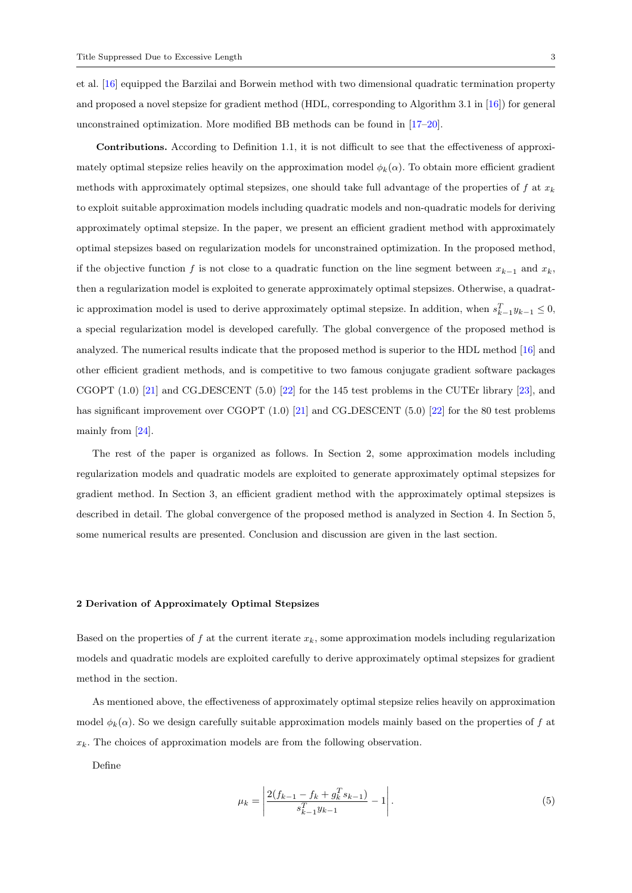et al. [\[16\]](#page-19-3) equipped the Barzilai and Borwein method with two dimensional quadratic termination property and proposed a novel stepsize for gradient method (HDL, corresponding to Algorithm 3.1 in [\[16\]](#page-19-3)) for general unconstrained optimization. More modified BB methods can be found in [\[17](#page-19-4)[–20\]](#page-19-5).

Contributions. According to Definition 1.1, it is not difficult to see that the effectiveness of approximately optimal stepsize relies heavily on the approximation model  $\phi_k(\alpha)$ . To obtain more efficient gradient methods with approximately optimal stepsizes, one should take full advantage of the properties of f at  $x_k$ to exploit suitable approximation models including quadratic models and non-quadratic models for deriving approximately optimal stepsize. In the paper, we present an efficient gradient method with approximately optimal stepsizes based on regularization models for unconstrained optimization. In the proposed method, if the objective function f is not close to a quadratic function on the line segment between  $x_{k-1}$  and  $x_k$ , then a regularization model is exploited to generate approximately optimal stepsizes. Otherwise, a quadratic approximation model is used to derive approximately optimal stepsize. In addition, when  $s_{k-1}^T y_{k-1} \leq 0$ , a special regularization model is developed carefully. The global convergence of the proposed method is analyzed. The numerical results indicate that the proposed method is superior to the HDL method [\[16\]](#page-19-3) and other efficient gradient methods, and is competitive to two famous conjugate gradient software packages CGOPT (1.0) [\[21\]](#page-19-6) and CG DESCENT (5.0) [\[22\]](#page-19-7) for the 145 test problems in the CUTEr library [\[23\]](#page-19-8), and has significant improvement over CGOPT (1.0) [\[21\]](#page-19-6) and CG DESCENT (5.0) [\[22\]](#page-19-7) for the 80 test problems mainly from [\[24\]](#page-19-9).

The rest of the paper is organized as follows. In Section 2, some approximation models including regularization models and quadratic models are exploited to generate approximately optimal stepsizes for gradient method. In Section 3, an efficient gradient method with the approximately optimal stepsizes is described in detail. The global convergence of the proposed method is analyzed in Section 4. In Section 5, some numerical results are presented. Conclusion and discussion are given in the last section.

#### 2 Derivation of Approximately Optimal Stepsizes

Based on the properties of f at the current iterate  $x_k$ , some approximation models including regularization models and quadratic models are exploited carefully to derive approximately optimal stepsizes for gradient method in the section.

As mentioned above, the effectiveness of approximately optimal stepsize relies heavily on approximation model  $\phi_k(\alpha)$ . So we design carefully suitable approximation models mainly based on the properties of f at  $x_k$ . The choices of approximation models are from the following observation.

Define

$$
\mu_k = \left| \frac{2(f_{k-1} - f_k + g_k^T s_{k-1})}{s_{k-1}^T y_{k-1}} - 1 \right|.
$$
\n(5)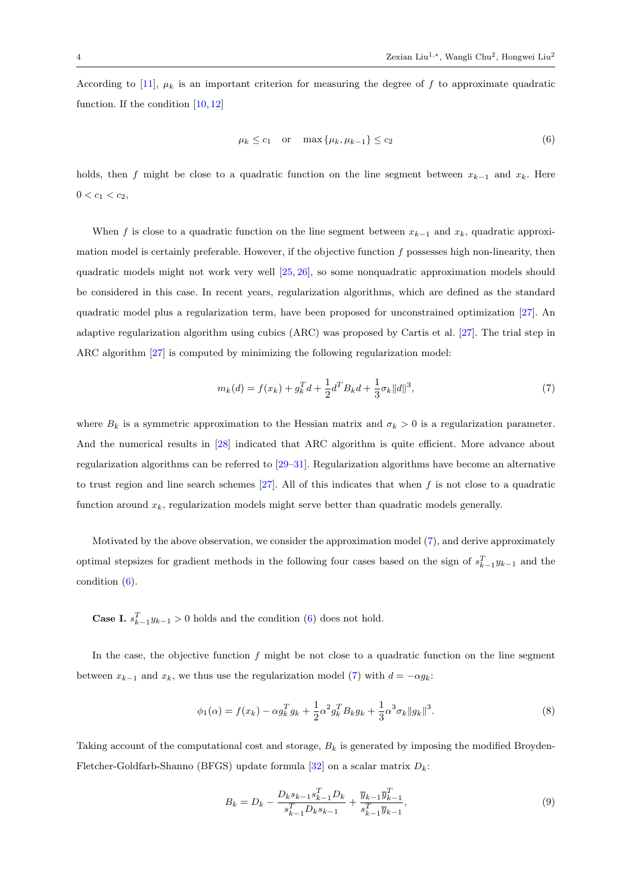According to [\[11\]](#page-18-10),  $\mu_k$  is an important criterion for measuring the degree of f to approximate quadratic function. If the condition [\[10,](#page-18-9) [12\]](#page-18-11)

<span id="page-3-1"></span>
$$
\mu_k \le c_1 \quad \text{or} \quad \max\left\{\mu_k, \mu_{k-1}\right\} \le c_2 \tag{6}
$$

holds, then f might be close to a quadratic function on the line segment between  $x_{k-1}$  and  $x_k$ . Here  $0 < c_1 < c_2$ ,

When f is close to a quadratic function on the line segment between  $x_{k-1}$  and  $x_k$ , quadratic approximation model is certainly preferable. However, if the objective function  $f$  possesses high non-linearity, then quadratic models might not work very well [\[25,](#page-19-10) [26\]](#page-19-11), so some nonquadratic approximation models should be considered in this case. In recent years, regularization algorithms, which are defined as the standard quadratic model plus a regularization term, have been proposed for unconstrained optimization [\[27\]](#page-19-12). An adaptive regularization algorithm using cubics (ARC) was proposed by Cartis et al. [\[27\]](#page-19-12). The trial step in ARC algorithm [\[27\]](#page-19-12) is computed by minimizing the following regularization model:

<span id="page-3-0"></span>
$$
m_k(d) = f(x_k) + g_k^T d + \frac{1}{2} d^T B_k d + \frac{1}{3} \sigma_k ||d||^3,
$$
\n(7)

where  $B_k$  is a symmetric approximation to the Hessian matrix and  $\sigma_k > 0$  is a regularization parameter. And the numerical results in [\[28\]](#page-19-13) indicated that ARC algorithm is quite efficient. More advance about regularization algorithms can be referred to [\[29–](#page-19-14)[31\]](#page-19-15). Regularization algorithms have become an alternative to trust region and line search schemes  $[27]$ . All of this indicates that when f is not close to a quadratic function around  $x_k$ , regularization models might serve better than quadratic models generally.

Motivated by the above observation, we consider the approximation model [\(7\)](#page-3-0), and derive approximately optimal stepsizes for gradient methods in the following four cases based on the sign of  $s_{k-1}^T y_{k-1}$  and the condition [\(6\)](#page-3-1).

**Case I.**  $s_{k-1}^T y_{k-1} > 0$  holds and the condition [\(6\)](#page-3-1) does not hold.

In the case, the objective function  $f$  might be not close to a quadratic function on the line segment between  $x_{k-1}$  and  $x_k$ , we thus use the regularization model [\(7\)](#page-3-0) with  $d = -\alpha g_k$ :

$$
\phi_1(\alpha) = f(x_k) - \alpha g_k^T g_k + \frac{1}{2} \alpha^2 g_k^T B_k g_k + \frac{1}{3} \alpha^3 \sigma_k \|g_k\|^3.
$$
 (8)

Taking account of the computational cost and storage,  $B_k$  is generated by imposing the modified Broyden-Fletcher-Goldfarb-Shanno (BFGS) update formula [\[32\]](#page-19-16) on a scalar matrix  $D_k$ :

<span id="page-3-3"></span><span id="page-3-2"></span>
$$
B_k = D_k - \frac{D_k s_{k-1} s_{k-1}^T D_k}{s_{k-1}^T D_k s_{k-1}} + \frac{\overline{y}_{k-1} \overline{y}_{k-1}^T}{s_{k-1}^T \overline{y}_{k-1}},
$$
\n(9)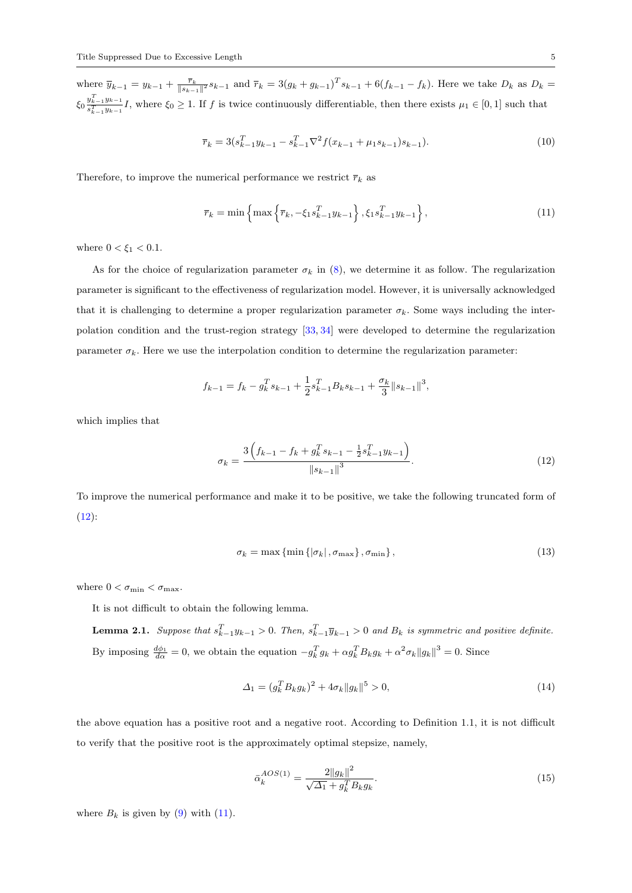where  $\overline{y}_{k-1} = y_{k-1} + \frac{\overline{r}_k}{\|s_{k-1}\|^2} s_{k-1}$  and  $\overline{r}_k = 3(g_k + g_{k-1})^T s_{k-1} + 6(f_{k-1} - f_k)$ . Here we take  $D_k$  as  $D_k =$  $\xi_0 \frac{y_{k-1}^T y_{k-1}}{e^T}$  $\frac{g_{k-1}g_{k-1}}{g_{k-1}^T g_{k-1}}I$ , where  $\xi_0 \geq 1$ . If f is twice continuously differentiable, then there exists  $\mu_1 \in [0,1]$  such that

$$
\overline{r}_k = 3(s_{k-1}^T y_{k-1} - s_{k-1}^T \nabla^2 f(x_{k-1} + \mu_1 s_{k-1}) s_{k-1}).
$$
\n(10)

Therefore, to improve the numerical performance we restrict  $\bar{r}_k$  as

<span id="page-4-1"></span>
$$
\bar{r}_k = \min\left\{\max\left\{\bar{r}_k, -\xi_1 s_{k-1}^T y_{k-1}\right\}, \xi_1 s_{k-1}^T y_{k-1}\right\},\tag{11}
$$

where  $0<\xi_1<0.1.$ 

As for the choice of regularization parameter  $\sigma_k$  in [\(8\)](#page-3-2), we determine it as follow. The regularization parameter is significant to the effectiveness of regularization model. However, it is universally acknowledged that it is challenging to determine a proper regularization parameter  $\sigma_k$ . Some ways including the interpolation condition and the trust-region strategy [\[33,](#page-19-17) [34\]](#page-19-18) were developed to determine the regularization parameter  $\sigma_k$ . Here we use the interpolation condition to determine the regularization parameter:

$$
f_{k-1} = f_k - g_k^T s_{k-1} + \frac{1}{2} s_{k-1}^T B_k s_{k-1} + \frac{\sigma_k}{3} ||s_{k-1}||^3,
$$

which implies that

<span id="page-4-0"></span>
$$
\sigma_k = \frac{3\left(f_{k-1} - f_k + g_k^T s_{k-1} - \frac{1}{2} s_{k-1}^T y_{k-1}\right)}{\left\|s_{k-1}\right\|^3}.
$$
\n(12)

To improve the numerical performance and make it to be positive, we take the following truncated form of  $(12)$ :

<span id="page-4-2"></span>
$$
\sigma_k = \max\left\{\min\left\{|\sigma_k|, \sigma_{\max}\right\}, \sigma_{\min}\right\},\tag{13}
$$

where  $0<\sigma_{\min}<\sigma_{\max}.$ 

It is not difficult to obtain the following lemma.

**Lemma 2.1.** Suppose that  $s_{k-1}^T y_{k-1} > 0$ . Then,  $s_{k-1}^T \overline{y}_{k-1} > 0$  and  $B_k$  is symmetric and positive definite. By imposing  $\frac{d\phi_1}{d\alpha} = 0$ , we obtain the equation  $-g_k^T g_k + \alpha g_k^T B_k g_k + \alpha^2 \sigma_k \|g_k\|^3 = 0$ . Since

$$
\Delta_1 = (g_k^T B_k g_k)^2 + 4\sigma_k \|g_k\|^5 > 0,
$$
\n(14)

the above equation has a positive root and a negative root. According to Definition 1.1, it is not difficult to verify that the positive root is the approximately optimal stepsize, namely,

$$
\bar{\alpha}_k^{AOS(1)} = \frac{2\|g_k\|^2}{\sqrt{\Delta_1} + g_k^T B_k g_k}.\tag{15}
$$

where  $B_k$  is given by [\(9\)](#page-3-3) with [\(11\)](#page-4-1).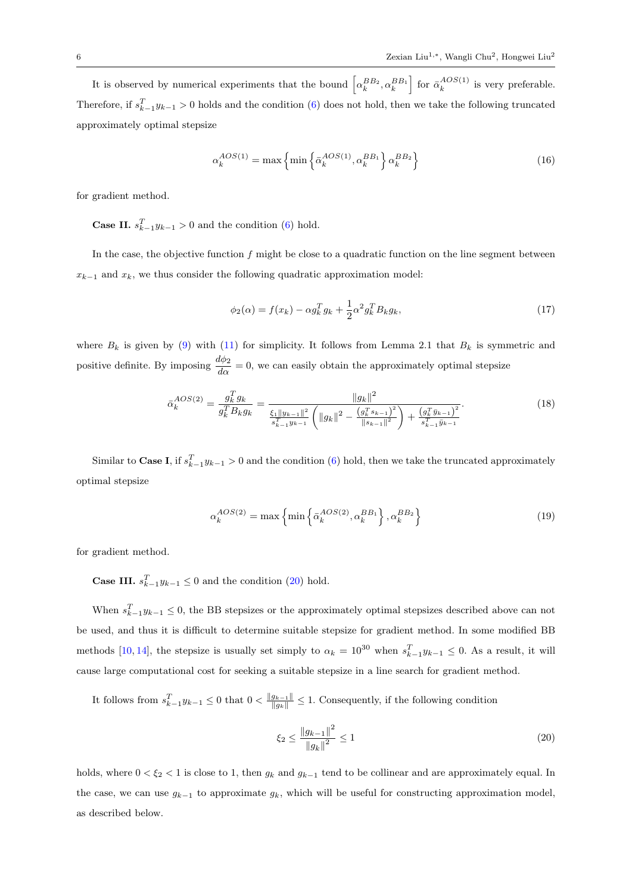It is observed by numerical experiments that the bound  $\left[\alpha_k^{BB_2}, \alpha_k^{BB_1}\right]$  for  $\bar{\alpha}_k^{AOS(1)}$  $\frac{AOS(1)}{k}$  is very preferable. Therefore, if  $s_{k-1}^T y_{k-1} > 0$  holds and the condition [\(6\)](#page-3-1) does not hold, then we take the following truncated approximately optimal stepsize

<span id="page-5-2"></span>
$$
\alpha_k^{AOS(1)} = \max\left\{\min\left\{\bar{\alpha}_k^{AOS(1)}, \alpha_k^{BB_1}\right\} \alpha_k^{BB_2}\right\} \tag{16}
$$

for gradient method.

**Case II.**  $s_{k-1}^T y_{k-1} > 0$  and the condition [\(6\)](#page-3-1) hold.

In the case, the objective function  $f$  might be close to a quadratic function on the line segment between  $x_{k-1}$  and  $x_k$ , we thus consider the following quadratic approximation model:

<span id="page-5-1"></span>
$$
\phi_2(\alpha) = f(x_k) - \alpha g_k^T g_k + \frac{1}{2} \alpha^2 g_k^T B_k g_k, \qquad (17)
$$

where  $B_k$  is given by [\(9\)](#page-3-3) with [\(11\)](#page-4-1) for simplicity. It follows from Lemma 2.1 that  $B_k$  is symmetric and positive definite. By imposing  $\frac{d\phi_2}{d\alpha} = 0$ , we can easily obtain the approximately optimal stepsize

$$
\bar{\alpha}_{k}^{AOS(2)} = \frac{g_{k}^{T} g_{k}}{g_{k}^{T} B_{k} g_{k}} = \frac{\|g_{k}\|^{2}}{\frac{\xi_{1} \|y_{k-1}\|^{2}}{s_{k-1}^{T} y_{k-1}} \left(\|g_{k}\|^{2} - \frac{\left(g_{k}^{T} s_{k-1}\right)^{2}}{\|s_{k-1}\|^{2}}\right) + \frac{\left(g_{k}^{T} \bar{y}_{k-1}\right)^{2}}{s_{k-1}^{T} \bar{y}_{k-1}}}. \tag{18}
$$

Similar to Case I, if  $s_{k-1}^T y_{k-1} > 0$  and the condition [\(6\)](#page-3-1) hold, then we take the truncated approximately optimal stepsize

<span id="page-5-3"></span>
$$
\alpha_k^{AOS(2)} = \max\left\{\min\left\{\bar{\alpha}_k^{AOS(2)}, \alpha_k^{BB_1}\right\}, \alpha_k^{BB_2}\right\} \tag{19}
$$

for gradient method.

**Case III.**  $s_{k-1}^T y_{k-1} \leq 0$  and the condition [\(20\)](#page-5-0) hold.

When  $s_{k-1}^T y_{k-1} \leq 0$ , the BB stepsizes or the approximately optimal stepsizes described above can not be used, and thus it is difficult to determine suitable stepsize for gradient method. In some modified BB methods [\[10,](#page-18-9) [14\]](#page-19-1), the stepsize is usually set simply to  $\alpha_k = 10^{30}$  when  $s_{k-1}^T y_{k-1} \leq 0$ . As a result, it will cause large computational cost for seeking a suitable stepsize in a line search for gradient method.

It follows from  $s_{k-1}^T y_{k-1} \leq 0$  that  $0 < \frac{\|g_{k-1}\|}{\|g_k\|} \leq 1$ . Consequently, if the following condition

<span id="page-5-0"></span>
$$
\xi_2 \le \frac{\|g_{k-1}\|^2}{\|g_k\|^2} \le 1\tag{20}
$$

holds, where  $0 < \xi_2 < 1$  is close to 1, then  $g_k$  and  $g_{k-1}$  tend to be collinear and are approximately equal. In the case, we can use  $g_{k-1}$  to approximate  $g_k$ , which will be useful for constructing approximation model, as described below.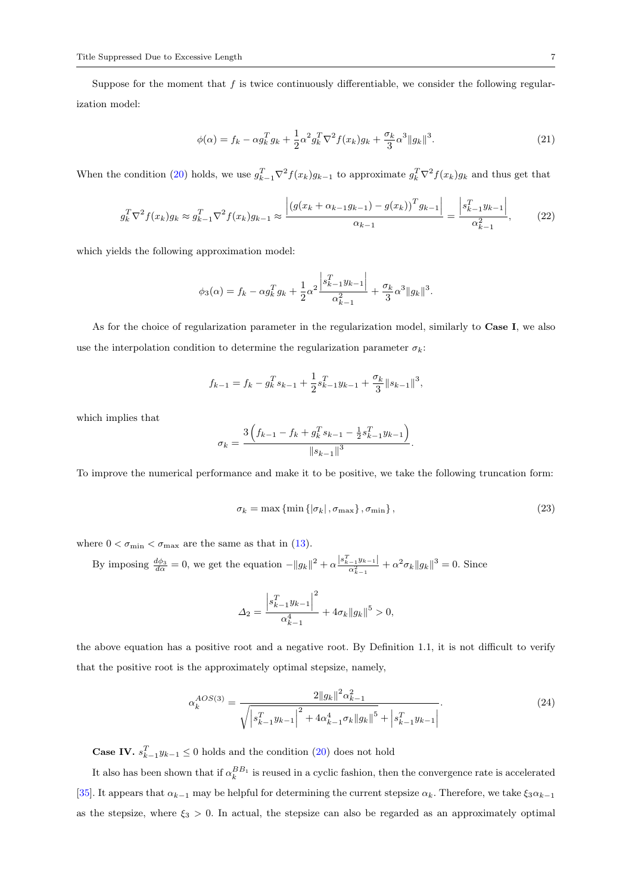Suppose for the moment that  $f$  is twice continuously differentiable, we consider the following regularization model:

$$
\phi(\alpha) = f_k - \alpha g_k^T g_k + \frac{1}{2} \alpha^2 g_k^T \nabla^2 f(x_k) g_k + \frac{\sigma_k}{3} \alpha^3 \|g_k\|^3. \tag{21}
$$

When the condition [\(20\)](#page-5-0) holds, we use  $g_{k-1}^T \nabla^2 f(x_k) g_{k-1}$  to approximate  $g_k^T \nabla^2 f(x_k) g_k$  and thus get that

$$
g_k^T \nabla^2 f(x_k) g_k \approx g_{k-1}^T \nabla^2 f(x_k) g_{k-1} \approx \frac{\left| \left( g(x_k + \alpha_{k-1} g_{k-1}) - g(x_k) \right)^T g_{k-1} \right|}{\alpha_{k-1}} = \frac{\left| s_{k-1}^T y_{k-1} \right|}{\alpha_{k-1}^2},\tag{22}
$$

which yields the following approximation model:

$$
\phi_3(\alpha) = f_k - \alpha g_k^T g_k + \frac{1}{2} \alpha^2 \frac{\left| s_{k-1}^T y_{k-1} \right|}{\alpha_{k-1}^2} + \frac{\sigma_k}{3} \alpha^3 \| g_k \|^3.
$$

As for the choice of regularization parameter in the regularization model, similarly to Case I, we also use the interpolation condition to determine the regularization parameter  $\sigma_k$ :

$$
f_{k-1} = f_k - g_k^T s_{k-1} + \frac{1}{2} s_{k-1}^T y_{k-1} + \frac{\sigma_k}{3} ||s_{k-1}||^3,
$$

which implies that

$$
\sigma_k = \frac{3\left(f_{k-1} - f_k + g_k^T s_{k-1} - \frac{1}{2} s_{k-1}^T y_{k-1}\right)}{\left\|s_{k-1}\right\|^3}.
$$

To improve the numerical performance and make it to be positive, we take the following truncation form:

$$
\sigma_k = \max\left\{\min\left\{|\sigma_k|, \sigma_{\max}\right\}, \sigma_{\min}\right\},\tag{23}
$$

where  $0 < \sigma_{\min} < \sigma_{\max}$  are the same as that in [\(13\)](#page-4-2).

By imposing  $\frac{d\phi_3}{d\alpha} = 0$ , we get the equation  $-||g_k||^2 + \alpha \frac{|s_{k-1}^T y_{k-1}|}{\alpha_{k-1}^2} + \alpha^2 \sigma_k ||g_k||^3 = 0$ . Since

<span id="page-6-0"></span>
$$
\Delta_2 = \frac{\left| s_{k-1}^T y_{k-1} \right|^2}{\alpha_{k-1}^4} + 4\sigma_k \|g_k\|^5 > 0,
$$

the above equation has a positive root and a negative root. By Definition 1.1, it is not difficult to verify that the positive root is the approximately optimal stepsize, namely,

$$
\alpha_k^{AOS(3)} = \frac{2\|g_k\|^2 \alpha_{k-1}^2}{\sqrt{\left|s_{k-1}^T y_{k-1}\right|^2 + 4\alpha_{k-1}^4 \sigma_k \|g_k\|^5} + \left|s_{k-1}^T y_{k-1}\right|}.
$$
\n(24)

**Case IV.**  $s_{k-1}^T y_{k-1} \leq 0$  holds and the condition [\(20\)](#page-5-0) does not hold

It also has been shown that if  $\alpha_k^{BB_1}$  is reused in a cyclic fashion, then the convergence rate is accelerated [\[35\]](#page-19-19). It appears that  $\alpha_{k-1}$  may be helpful for determining the current stepsize  $\alpha_k$ . Therefore, we take  $\xi_3 \alpha_{k-1}$ as the stepsize, where  $\xi_3 > 0$ . In actual, the stepsize can also be regarded as an approximately optimal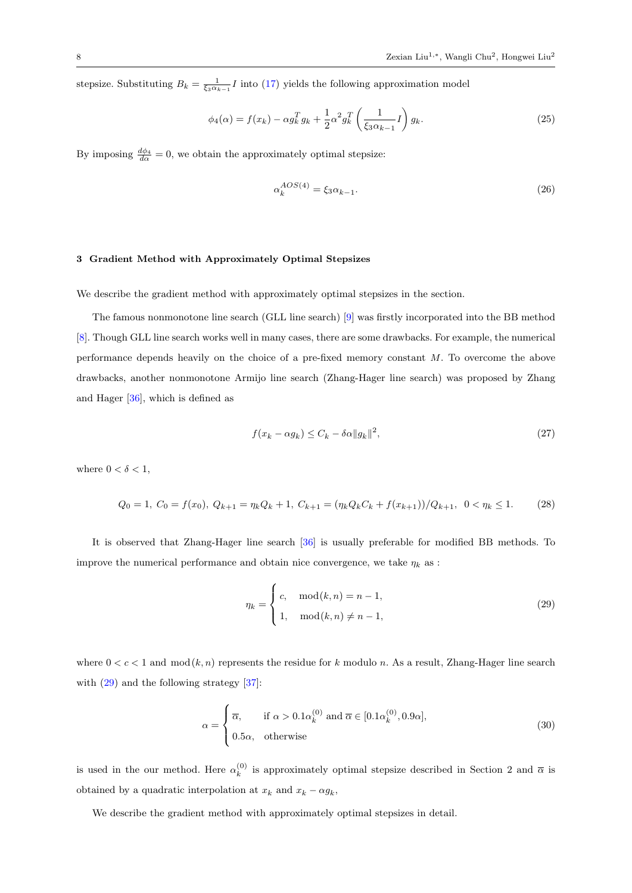stepsize. Substituting  $B_k = \frac{1}{\xi_3 \alpha_{k-1}} I$  into [\(17\)](#page-5-1) yields the following approximation model

$$
\phi_4(\alpha) = f(x_k) - \alpha g_k^T g_k + \frac{1}{2} \alpha^2 g_k^T \left( \frac{1}{\xi_3 \alpha_{k-1}} I \right) g_k. \tag{25}
$$

By imposing  $\frac{d\phi_4}{d\alpha} = 0$ , we obtain the approximately optimal stepsize:

<span id="page-7-1"></span>
$$
\alpha_k^{AOS(4)} = \xi_3 \alpha_{k-1}.\tag{26}
$$

### 3 Gradient Method with Approximately Optimal Stepsizes

We describe the gradient method with approximately optimal stepsizes in the section.

The famous nonmonotone line search (GLL line search) [\[9\]](#page-18-7) was firstly incorporated into the BB method [\[8\]](#page-18-6). Though GLL line search works well in many cases, there are some drawbacks. For example, the numerical performance depends heavily on the choice of a pre-fixed memory constant M. To overcome the above drawbacks, another nonmonotone Armijo line search (Zhang-Hager line search) was proposed by Zhang and Hager [\[36\]](#page-19-20), which is defined as

<span id="page-7-4"></span><span id="page-7-2"></span>
$$
f(x_k - \alpha g_k) \le C_k - \delta \alpha \|g_k\|^2,\tag{27}
$$

where  $0 < \delta < 1$ ,

$$
Q_0 = 1, C_0 = f(x_0), Q_{k+1} = \eta_k Q_k + 1, C_{k+1} = (\eta_k Q_k C_k + f(x_{k+1})) / Q_{k+1}, 0 < \eta_k \le 1.
$$
 (28)

It is observed that Zhang-Hager line search [\[36\]](#page-19-20) is usually preferable for modified BB methods. To improve the numerical performance and obtain nice convergence, we take  $\eta_k$  as :

<span id="page-7-3"></span><span id="page-7-0"></span>
$$
\eta_k = \begin{cases} c, & \text{mod}(k, n) = n - 1, \\ 1, & \text{mod}(k, n) \neq n - 1, \end{cases}
$$
\n(29)

where  $0 < c < 1$  and  $mod (k, n)$  represents the residue for k modulo n. As a result, Zhang-Hager line search with  $(29)$  and the following strategy [\[37\]](#page-19-21):

$$
\alpha = \begin{cases} \overline{\alpha}, & \text{if } \alpha > 0.1 \alpha_k^{(0)} \text{ and } \overline{\alpha} \in [0.1 \alpha_k^{(0)}, 0.9 \alpha], \\ 0.5 \alpha, & \text{otherwise} \end{cases}
$$
(30)

is used in the our method. Here  $\alpha_k^{(0)}$  is approximately optimal stepsize described in Section 2 and  $\overline{\alpha}$  is obtained by a quadratic interpolation at  $x_k$  and  $x_k - \alpha g_k$ ,

We describe the gradient method with approximately optimal stepsizes in detail.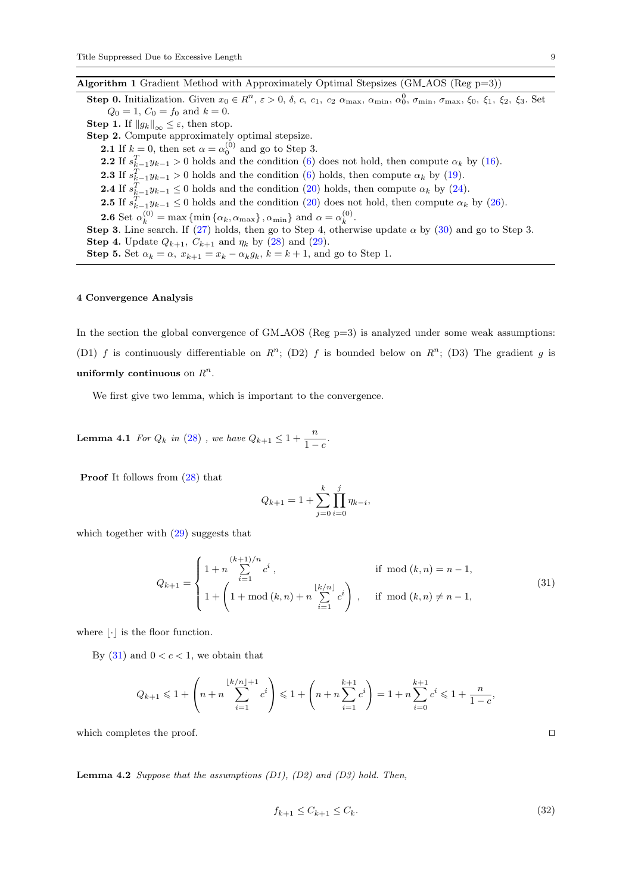Algorithm 1 Gradient Method with Approximately Optimal Stepsizes (GM AOS (Reg p=3))

**Step 0.** Initialization. Given  $x_0 \in R^n$ ,  $\varepsilon > 0$ ,  $\delta$ ,  $c$ ,  $c_1$ ,  $c_2$   $\alpha_{\text{max}}$ ,  $\alpha_{\text{min}}$ ,  $\alpha_0^0$ ,  $\sigma_{\text{min}}$ ,  $\sigma_{\text{max}}$ ,  $\xi_0$ ,  $\xi_1$ ,  $\xi_2$ ,  $\xi_3$ . Set  $Q_0 = 1, C_0 = f_0$  and  $k = 0$ . **Step 1.** If  $||g_k||_{\infty} \leq \varepsilon$ , then stop. Step 2. Compute approximately optimal stepsize. **2.1** If  $k = 0$ , then set  $\alpha = \alpha_0^{(0)}$  and go to Step 3. **2.2** If  $s_{k-1}^T y_{k-1} > 0$  holds and the condition [\(6\)](#page-3-1) does not hold, then compute  $\alpha_k$  by [\(16\)](#page-5-2). **2.3** If  $s_{k-1}^T y_{k-1} > 0$  holds and the condition [\(6\)](#page-3-1) holds, then compute  $\alpha_k$  by [\(19\)](#page-5-3). **2.4** If  $s_{k-1}^T y_{k-1} \leq 0$  holds and the condition [\(20\)](#page-5-0) holds, then compute  $\alpha_k$  by [\(24\)](#page-6-0). **2.5** If  $s_{k-1}^T y_{k-1} \leq 0$  holds and the condition [\(20\)](#page-5-0) does not hold, then compute  $\alpha_k$  by [\(26\)](#page-7-1). **2.6** Set  $\alpha_k^{(0)} = \max \{\min \{\alpha_k, \alpha_{\max}\}, \alpha_{\min}\}\$  and  $\alpha = \alpha_k^{(0)}$ . Step 3. Line search. If [\(27\)](#page-7-2) holds, then go to Step 4, otherwise update  $\alpha$  by [\(30\)](#page-7-3) and go to Step 3. **Step 4.** Update  $Q_{k+1}$ ,  $C_{k+1}$  and  $\eta_k$  by [\(28\)](#page-7-4) and [\(29\)](#page-7-0). Step 5. Set  $\alpha_k = \alpha$ ,  $x_{k+1} = x_k - \alpha_k g_k$ ,  $k = k+1$ , and go to Step 1.

#### 4 Convergence Analysis

In the section the global convergence of  $GM<sub>+</sub>AGS$  (Reg  $p=3$ ) is analyzed under some weak assumptions: (D1) f is continuously differentiable on  $R^n$ ; (D2) f is bounded below on  $R^n$ ; (D3) The gradient g is uniformly continuous on  $R^n$ .

<span id="page-8-2"></span>We first give two lemma, which is important to the convergence.

**Lemma 4.1** For  $Q_k$  in [\(28\)](#page-7-4), we have  $Q_{k+1} \leq 1 + \frac{n}{1-c}$ .

Proof It follows from [\(28\)](#page-7-4) that

<span id="page-8-0"></span>
$$
Q_{k+1} = 1 + \sum_{j=0}^{k} \prod_{i=0}^{j} \eta_{k-i},
$$

which together with  $(29)$  suggests that

$$
Q_{k+1} = \begin{cases} 1 + n \sum_{i=1}^{(k+1)/n} c^i, & \text{if } \mod(k, n) = n - 1, \\ 1 + \left(1 + \mod(k, n) + n \sum_{i=1}^{\lfloor k/n \rfloor} c^i \right), & \text{if } \mod(k, n) \neq n - 1, \end{cases}
$$
(31)

where  $|\cdot|$  is the floor function.

By  $(31)$  and  $0 < c < 1$ , we obtain that

$$
Q_{k+1} \leq 1 + \left(n + n \sum_{i=1}^{\lfloor k/n \rfloor + 1} c^i \right) \leq 1 + \left(n + n \sum_{i=1}^{k+1} c^i \right) = 1 + n \sum_{i=0}^{k+1} c^i \leq 1 + \frac{n}{1 - c},
$$

<span id="page-8-3"></span>which completes the proof.  $\Box$ 

**Lemma 4.2** Suppose that the assumptions  $(D1)$ ,  $(D2)$  and  $(D3)$  hold. Then,

<span id="page-8-1"></span>
$$
f_{k+1} \le C_{k+1} \le C_k. \tag{32}
$$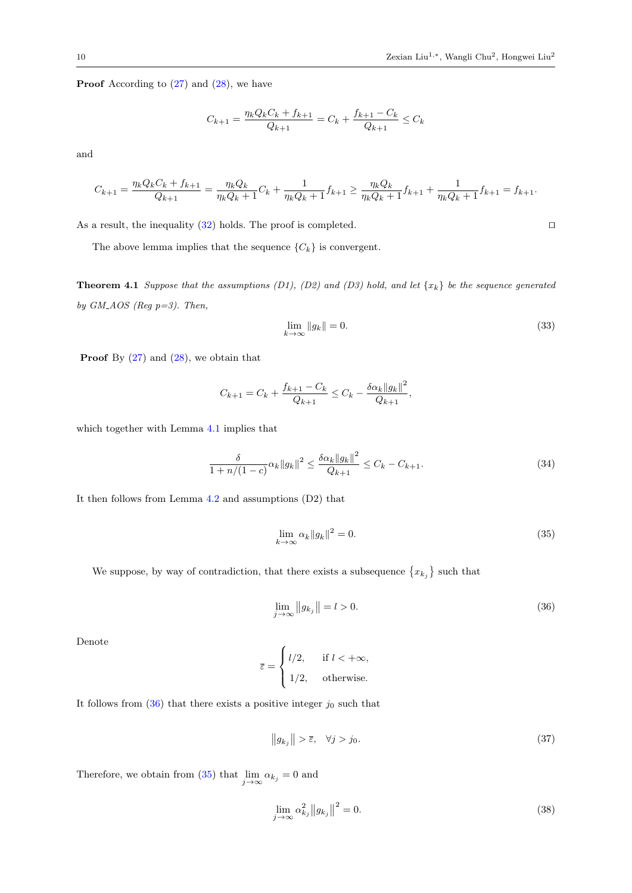**Proof** According to  $(27)$  and  $(28)$ , we have

$$
C_{k+1} = \frac{\eta_k Q_k C_k + f_{k+1}}{Q_{k+1}} = C_k + \frac{f_{k+1} - C_k}{Q_{k+1}} \le C_k
$$

and

$$
C_{k+1} = \frac{\eta_k Q_k C_k + f_{k+1}}{Q_{k+1}} = \frac{\eta_k Q_k}{\eta_k Q_k + 1} C_k + \frac{1}{\eta_k Q_k + 1} f_{k+1} \ge \frac{\eta_k Q_k}{\eta_k Q_k + 1} f_{k+1} + \frac{1}{\eta_k Q_k + 1} f_{k+1} = f_{k+1}.
$$

As a result, the inequality  $(32)$  holds. The proof is completed.  $\square$ 

The above lemma implies that the sequence  $\{C_k\}$  is convergent.

**Theorem 4.1** Suppose that the assumptions (D1), (D2) and (D3) hold, and let  $\{x_k\}$  be the sequence generated by  $GM\text{-}AOS$  (Reg p=3). Then,

<span id="page-9-4"></span>
$$
\lim_{k \to \infty} \|g_k\| = 0. \tag{33}
$$

**Proof** By  $(27)$  and  $(28)$ , we obtain that

$$
C_{k+1} = C_k + \frac{f_{k+1} - C_k}{Q_{k+1}} \le C_k - \frac{\delta \alpha_k ||g_k||^2}{Q_{k+1}},
$$

which together with Lemma [4.1](#page-8-2) implies that

$$
\frac{\delta}{1 + n/(1 - c)} \alpha_k \|g_k\|^2 \le \frac{\delta \alpha_k \|g_k\|^2}{Q_{k+1}} \le C_k - C_{k+1}.
$$
\n(34)

It then follows from Lemma [4.2](#page-8-3) and assumptions (D2) that

<span id="page-9-1"></span><span id="page-9-0"></span>
$$
\lim_{k \to \infty} \alpha_k \|g_k\|^2 = 0. \tag{35}
$$

We suppose, by way of contradiction, that there exists a subsequence  $\{x_{k_j}\}$  such that

$$
\lim_{j \to \infty} \|g_{k_j}\| = l > 0. \tag{36}
$$

Denote

$$
\overline{\varepsilon} = \begin{cases} l/2, & \text{if } l < +\infty, \\ 1/2, & \text{otherwise.} \end{cases}
$$

It follows from  $(36)$  that there exists a positive integer  $j_0$  such that

<span id="page-9-3"></span><span id="page-9-2"></span>
$$
\|g_{k_j}\| > \overline{\varepsilon}, \quad \forall j > j_0. \tag{37}
$$

Therefore, we obtain from [\(35\)](#page-9-1) that  $\lim_{j \to \infty} \alpha_{k_j} = 0$  and

$$
\lim_{j \to \infty} \alpha_{k_j}^2 \|g_{k_j}\|^2 = 0. \tag{38}
$$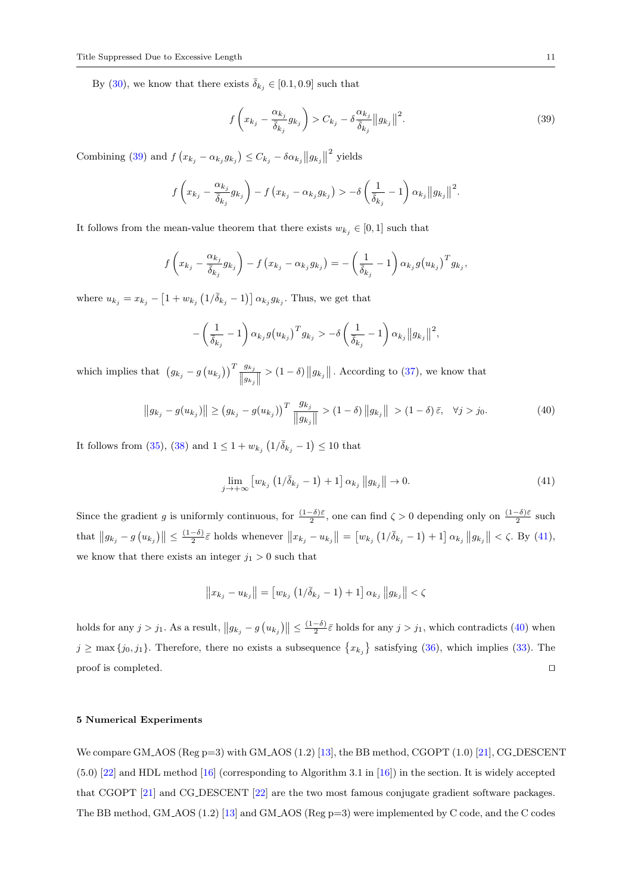By [\(30\)](#page-7-3), we know that there exists  $\bar{\delta}_{k_j} \in [0.1, 0.9]$  such that

<span id="page-10-0"></span>
$$
f\left(x_{k_j} - \frac{\alpha_{k_j}}{\overline{\delta}_{k_j}} g_{k_j}\right) > C_{k_j} - \delta \frac{\alpha_{k_j}}{\overline{\delta}_{k_j}} \|g_{k_j}\|^2. \tag{39}
$$

Combining [\(39\)](#page-10-0) and  $f(x_{k_j} - \alpha_{k_j} g_{k_j}) \leq C_{k_j} - \delta \alpha_{k_j} ||g_{k_j}||^2$  yields

$$
f\left(x_{k_j}-\frac{\alpha_{k_j}}{\overline{\delta}_{k_j}}g_{k_j}\right)-f\left(x_{k_j}-\alpha_{k_j}g_{k_j}\right)>-\delta\left(\frac{1}{\overline{\delta}_{k_j}}-1\right)\alpha_{k_j}||g_{k_j}||^2.
$$

It follows from the mean-value theorem that there exists  $w_{k_j} \in [0,1]$  such that

$$
f\left(x_{k_j}-\frac{\alpha_{k_j}}{\overline{\delta}_{k_j}}g_{k_j}\right)-f\left(x_{k_j}-\alpha_{k_j}g_{k_j}\right)=-\left(\frac{1}{\overline{\delta}_{k_j}}-1\right)\alpha_{k_j}g\left(u_{k_j}\right)^T g_{k_j},
$$

where  $u_{k_j} = x_{k_j} - \left[1 + w_{k_j} \left(1/\bar{\delta}_{k_j} - 1\right)\right] \alpha_{k_j} g_{k_j}$ . Thus, we get that

$$
-\left(\frac{1}{\bar{\delta}_{k_j}}-1\right)\alpha_{k_j}g(u_{k_j})^T g_{k_j} > -\delta\left(\frac{1}{\bar{\delta}_{k_j}}-1\right)\alpha_{k_j}||g_{k_j}||^2,
$$

which implies that  $(g_{k_j} - g(u_{k_j}))^T \frac{g_{k_j}}{\|g\|_{\infty}}$  $||g_{k_j}||$  $> (1 - \delta) ||g_{k_j}||$ . According to [\(37\)](#page-9-2), we know that

$$
||g_{k_j} - g(u_{k_j})|| \ge (g_{k_j} - g(u_{k_j}))^T \frac{g_{k_j}}{||g_{k_j}||} > (1 - \delta) ||g_{k_j}|| > (1 - \delta)\bar{\varepsilon}, \quad \forall j > j_0.
$$
 (40)

It follows from [\(35\)](#page-9-1), [\(38\)](#page-9-3) and  $1 \leq 1 + w_{k_j} (1/\bar{\delta}_{k_j} - 1) \leq 10$  that

<span id="page-10-2"></span><span id="page-10-1"></span>
$$
\lim_{j \to +\infty} \left[ w_{k_j} \left( 1/\overline{\delta}_{k_j} - 1 \right) + 1 \right] \alpha_{k_j} \| g_{k_j} \| \to 0. \tag{41}
$$

Since the gradient g is uniformly continuous, for  $\frac{(1-\delta)\bar{\varepsilon}}{2}$ , one can find  $\zeta > 0$  depending only on  $\frac{(1-\delta)\bar{\varepsilon}}{2}$  such that  $||g_{k_j} - g(u_{k_j})|| \leq \frac{(1-\delta)}{2} \bar{\varepsilon}$  holds whenever  $||x_{k_j} - u_{k_j}|| = [w_{k_j}(1/\bar{\delta}_{k_j} - 1) + 1] \alpha_{k_j} ||g_{k_j}|| < \zeta$ . By [\(41\)](#page-10-1), we know that there exists an integer  $j_1 > 0$  such that

$$
\|x_{k_j}-u_{k_j}\|=\left[w_{k_j}\left(1/\overline{\delta}_{k_j}-1\right)+1\right]\alpha_{k_j}\,\|g_{k_j}\|<\zeta
$$

holds for any  $j > j_1$ . As a result,  $||g_{k_j} - g(u_{k_j})|| \leq \frac{(1-\delta)}{2} \bar{\varepsilon}$  holds for any  $j > j_1$ , which contradicts [\(40\)](#page-10-2) when  $j \geq \max\{j_0, j_1\}$ . Therefore, there no exists a subsequence  $\{x_{k_j}\}$  satisfying [\(36\)](#page-9-0), which implies [\(33\)](#page-9-4). The proof is completed.  $\hfill \Box$ 

### 5 Numerical Experiments

We compare GM\_AOS (Reg p=3) with GM\_AOS  $(1.2)$  [\[13\]](#page-19-0), the BB method, CGOPT  $(1.0)$  [\[21\]](#page-19-6), CG\_DESCENT (5.0) [\[22\]](#page-19-7) and HDL method [\[16\]](#page-19-3) (corresponding to Algorithm 3.1 in [\[16\]](#page-19-3)) in the section. It is widely accepted that CGOPT [\[21\]](#page-19-6) and CG DESCENT [\[22\]](#page-19-7) are the two most famous conjugate gradient software packages. The BB method, GM AOS (1.2) [\[13\]](#page-19-0) and GM AOS (Reg p=3) were implemented by C code, and the C codes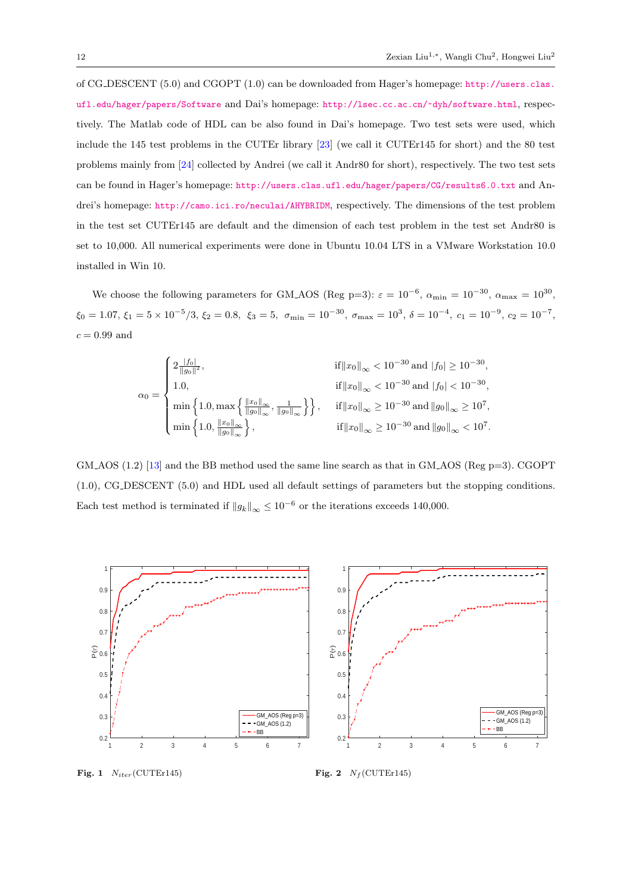of CG DESCENT (5.0) and CGOPT (1.0) can be downloaded from Hager's homepage: [http://users.clas.](http://users.clas.ufl.edu/hager/papers/Software) [ufl.edu/hager/papers/Software](http://users.clas.ufl.edu/hager/papers/Software) and Dai's homepage: <http://lsec.cc.ac.cn/~dyh/software.html>, respectively. The Matlab code of HDL can be also found in Dai's homepage. Two test sets were used, which include the 145 test problems in the CUTEr library [\[23\]](#page-19-8) (we call it CUTEr145 for short) and the 80 test problems mainly from [\[24\]](#page-19-9) collected by Andrei (we call it Andr80 for short), respectively. The two test sets can be found in Hager's homepage: <http://users.clas.ufl.edu/hager/papers/CG/results6.0.txt> and Andrei's homepage: <http://camo.ici.ro/neculai/AHYBRIDM>, respectively. The dimensions of the test problem in the test set CUTEr145 are default and the dimension of each test problem in the test set Andr80 is set to 10,000. All numerical experiments were done in Ubuntu 10.04 LTS in a VMware Workstation 10.0 installed in Win 10.

We choose the following parameters for GM\_AOS (Reg p=3):  $\varepsilon = 10^{-6}$ ,  $\alpha_{\min} = 10^{-30}$ ,  $\alpha_{\max} = 10^{30}$ ,  $\xi_0 = 1.07, \xi_1 = 5 \times 10^{-5} / 3, \xi_2 = 0.8, \xi_3 = 5, \sigma_{\min} = 10^{-30}, \sigma_{\max} = 10^3, \delta = 10^{-4}, c_1 = 10^{-9}, c_2 = 10^{-7},$  $c = 0.99$  and

$$
\alpha_0 = \begin{cases} 2 \frac{|f_0|}{||g_0||^2}, & \text{if } ||x_0||_{\infty} < 10^{-30} \text{ and } |f_0| \ge 10^{-30}, \\ 1.0, & \text{if } ||x_0||_{\infty} < 10^{-30} \text{ and } |f_0| < 10^{-30}, \\ \min\left\{1.0, \max\left\{\frac{\|x_0\|_{\infty}}{\|g_0\|_{\infty}}, \frac{1}{\|g_0\|_{\infty}}\right\}\right\}, & \text{if } ||x_0||_{\infty} \ge 10^{-30} \text{ and } ||g_0||_{\infty} \ge 10^7, \\ \min\left\{1.0, \frac{\|x_0\|_{\infty}}{\|g_0\|_{\infty}}\right\}, & \text{if } ||x_0||_{\infty} \ge 10^{-30} \text{ and } ||g_0||_{\infty} < 10^7. \end{cases}
$$

GM AOS  $(1.2)$  [\[13\]](#page-19-0) and the BB method used the same line search as that in GM AOS (Reg p=3). CGOPT (1.0), CG DESCENT (5.0) and HDL used all default settings of parameters but the stopping conditions. Each test method is terminated if  $||g_k||_{\infty} \leq 10^{-6}$  or the iterations exceeds 140,000.



<span id="page-11-0"></span>Fig. 1  $N_{iter}$ (CUTEr145)

<span id="page-11-1"></span>Fig. 2  $N_f$ (CUTEr145)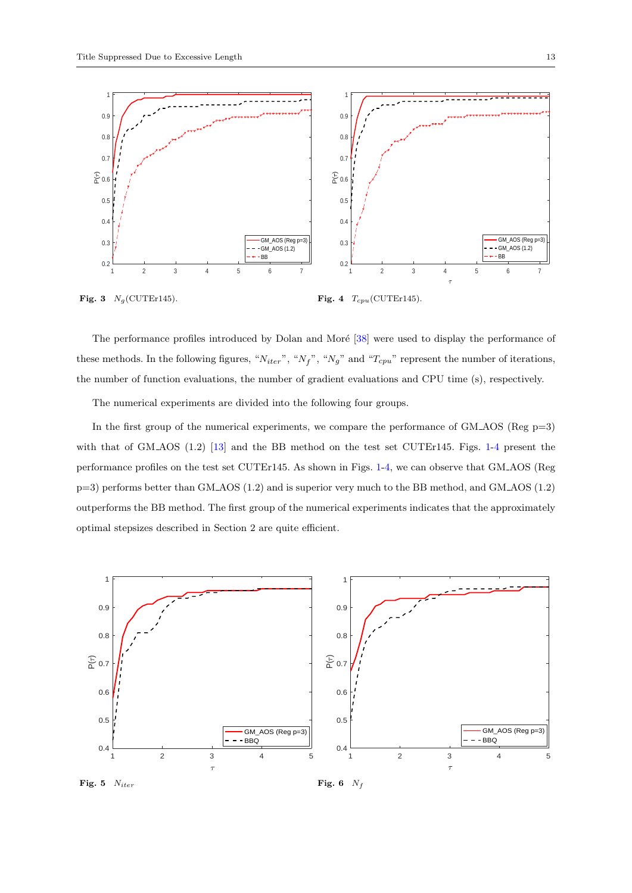

<span id="page-12-0"></span>Fig. 4  $T_{cpu}$ (CUTEr145).

The performance profiles introduced by Dolan and Moré [\[38\]](#page-20-0) were used to display the performance of these methods. In the following figures, " $N_{iter}$ ", " $N_f$ ", " $N_g$ " and " $T_{cpu}$ " represent the number of iterations, the number of function evaluations, the number of gradient evaluations and CPU time (s), respectively.

The numerical experiments are divided into the following four groups.

In the first group of the numerical experiments, we compare the performance of  $GM<sub>-</sub>AOS$  (Reg  $p=3$ ) with that of GM\_AOS (1.2) [\[13\]](#page-19-0) and the BB method on the test set CUTEr145. Figs. [1-](#page-11-0)[4](#page-12-0) present the performance profiles on the test set CUTEr145. As shown in Figs. [1-](#page-11-0)[4,](#page-12-0) we can observe that GM AOS (Reg p=3) performs better than GM AOS (1.2) and is superior very much to the BB method, and GM AOS (1.2) outperforms the BB method. The first group of the numerical experiments indicates that the approximately optimal stepsizes described in Section 2 are quite efficient.



<span id="page-12-1"></span>Fig. 5  $N_{iter}$ 

<span id="page-12-2"></span>Fig. 6  $N_f$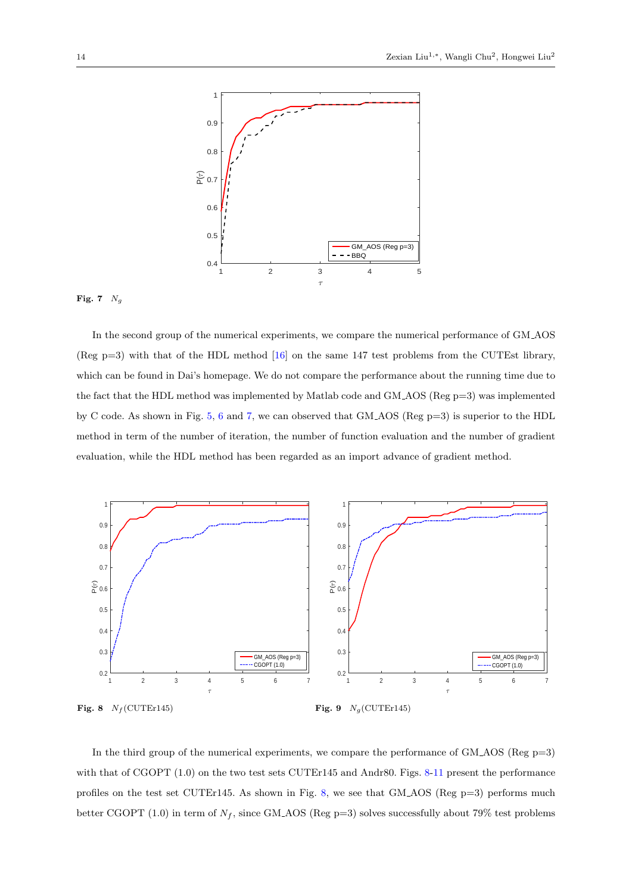

## <span id="page-13-0"></span>Fig. 7  $N_g$

In the second group of the numerical experiments, we compare the numerical performance of GM AOS (Reg p=3) with that of the HDL method [\[16\]](#page-19-3) on the same 147 test problems from the CUTEst library, which can be found in Dai's homepage. We do not compare the performance about the running time due to the fact that the HDL method was implemented by Matlab code and GM AOS (Reg p=3) was implemented by C code. As shown in Fig. [5,](#page-12-1) [6](#page-12-2) and [7,](#page-13-0) we can observed that GM AOS (Reg p=3) is superior to the HDL method in term of the number of iteration, the number of function evaluation and the number of gradient evaluation, while the HDL method has been regarded as an import advance of gradient method.



<span id="page-13-2"></span><span id="page-13-1"></span>In the third group of the numerical experiments, we compare the performance of  $GM<sub>-</sub>AOS$  (Reg p=3) with that of CGOPT  $(1.0)$  on the two test sets CUTEr145 and Andr80. Figs. [8-](#page-13-1)[11](#page-14-0) present the performance profiles on the test set CUTEr145. As shown in Fig. [8,](#page-13-1) we see that GM AOS (Reg p=3) performs much better CGOPT (1.0) in term of  $N_f$ , since GM\_AOS (Reg p=3) solves successfully about 79% test problems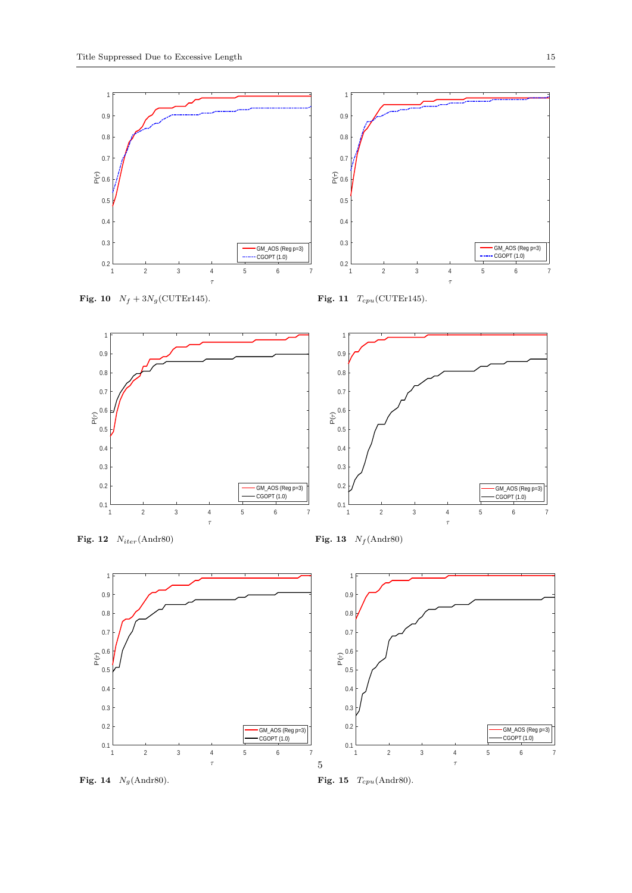

<span id="page-14-1"></span>Fig. 10  $N_f + 3N_g$ (CUTEr145).

<span id="page-14-0"></span>





<span id="page-14-2"></span>Fig. 12  $N_{iter}$ (Andr80)

<span id="page-14-4"></span>Fig. 13  $N_f$  (Andr80)



Fig. 14  $N_g$ (Andr80).

<span id="page-14-3"></span>

GM\_AOS (Reg p=3)  $\cdot$  CGOPT  $(1.0)$ 

0.2 0.3 0.4 0.5  $\mathbb{E}^{0.6}$ 

0.7 0.8 0.9 1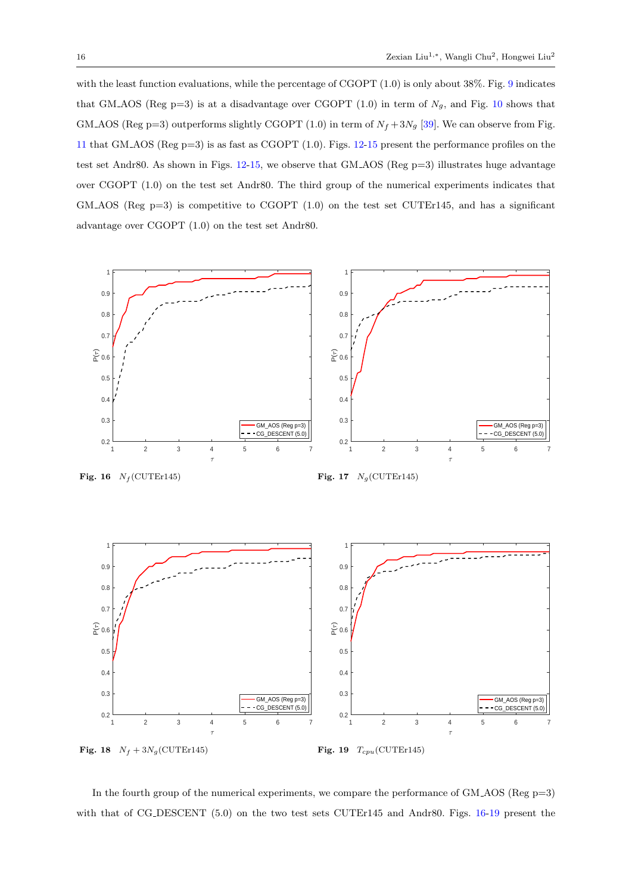with the least function evaluations, while the percentage of CGOPT  $(1.0)$  is only about 38%. Fig. [9](#page-13-2) indicates that GM AOS (Reg p=3) is at a disadvantage over CGOPT (1.0) in term of  $N_g$ , and Fig. [10](#page-14-1) shows that GM AOS (Reg p=3) outperforms slightly CGOPT (1.0) in term of  $N_f + 3N_g$  [\[39\]](#page-20-1). We can observe from Fig. [11](#page-14-0) that GM AOS (Reg p=3) is as fast as CGOPT (1.0). Figs. [12-](#page-14-2)[15](#page-14-3) present the performance profiles on the test set Andr80. As shown in Figs. [12-](#page-14-2)[15,](#page-14-3) we observe that GM AOS (Reg p=3) illustrates huge advantage over CGOPT (1.0) on the test set Andr80. The third group of the numerical experiments indicates that GM AOS (Reg  $p=3$ ) is competitive to CGOPT (1.0) on the test set CUTEr145, and has a significant advantage over CGOPT (1.0) on the test set Andr80.



<span id="page-15-0"></span>Fig. 16  $N_f$ (CUTEr145)

<span id="page-15-2"></span><span id="page-15-1"></span>Fig. 17  $N_g$ (CUTEr145)



<span id="page-15-3"></span>In the fourth group of the numerical experiments, we compare the performance of GM AOS (Reg p=3) with that of CG DESCENT (5.0) on the two test sets CUTEr145 and Andr80. Figs. [16-](#page-15-0)[19](#page-15-1) present the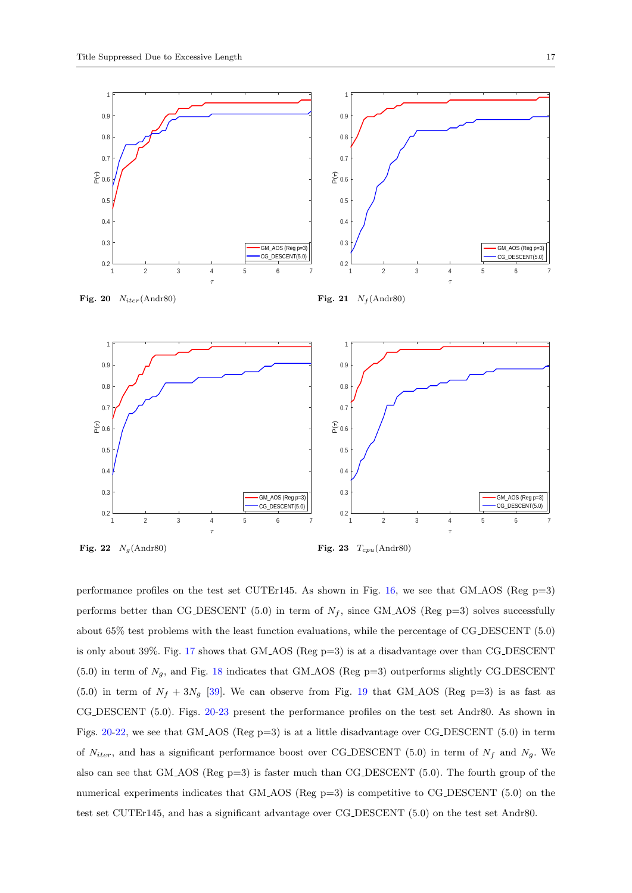<span id="page-16-3"></span><span id="page-16-0"></span>

<span id="page-16-2"></span><span id="page-16-1"></span>performance profiles on the test set CUTEr145. As shown in Fig. [16,](#page-15-0) we see that GM\_AOS (Reg  $p=3$ ) performs better than CG\_DESCENT (5.0) in term of  $N_f$ , since GM\_AOS (Reg p=3) solves successfully about 65% test problems with the least function evaluations, while the percentage of CG DESCENT (5.0) is only about 39%. Fig. [17](#page-15-2) shows that GM AOS (Reg p=3) is at a disadvantage over than CG DESCENT (5.0) in term of  $N_g$ , and Fig. [18](#page-15-3) indicates that GM\_AOS (Reg p=3) outperforms slightly CG\_DESCENT (5.0) in term of  $N_f + 3N_g$  [\[39\]](#page-20-1). We can observe from Fig. [19](#page-15-1) that GM\_AOS (Reg p=3) is as fast as CG DESCENT (5.0). Figs. [20-](#page-16-0)[23](#page-16-1) present the performance profiles on the test set Andr80. As shown in Figs. [20](#page-16-0)[-22,](#page-16-2) we see that GM AOS (Reg p=3) is at a little disadvantage over CG DESCENT (5.0) in term of  $N_{iter}$ , and has a significant performance boost over CG\_DESCENT (5.0) in term of  $N_f$  and  $N_g$ . We also can see that GM\_ $AOS$  (Reg p=3) is faster much than CG\_DESCENT (5.0). The fourth group of the numerical experiments indicates that GM\_AOS (Reg p=3) is competitive to CG\_DESCENT (5.0) on the test set CUTEr145, and has a significant advantage over CG DESCENT (5.0) on the test set Andr80.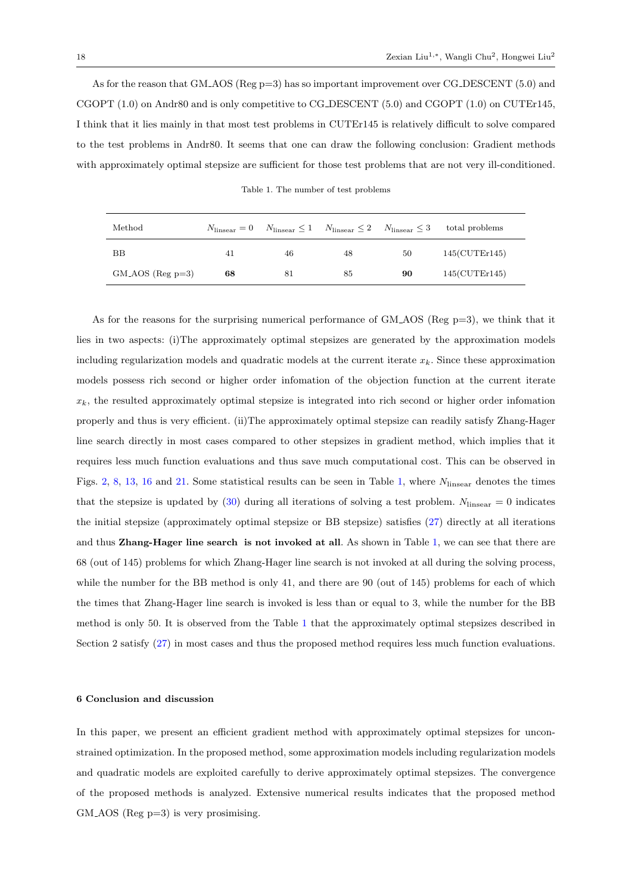As for the reason that GM\_AOS (Reg p=3) has so important improvement over CG\_DESCENT (5.0) and CGOPT (1.0) on Andr80 and is only competitive to CG DESCENT (5.0) and CGOPT (1.0) on CUTEr145, I think that it lies mainly in that most test problems in CUTEr145 is relatively difficult to solve compared to the test problems in Andr80. It seems that one can draw the following conclusion: Gradient methods with approximately optimal stepsize are sufficient for those test problems that are not very ill-conditioned.

Table 1. The number of test problems

<span id="page-17-0"></span>

| Method             |    |    | $N_{\text{linear}} = 0$ $N_{\text{linear}} \le 1$ $N_{\text{linear}} \le 2$ $N_{\text{linear}} \le 3$ |    | total problems       |
|--------------------|----|----|-------------------------------------------------------------------------------------------------------|----|----------------------|
| BB                 | 41 | 46 | 48                                                                                                    | 50 | $145$ (CUTEr $145$ ) |
| $GM_AOS$ (Reg p=3) | 68 | 81 | 85                                                                                                    | 90 | $145$ (CUTEr $145$ ) |

As for the reasons for the surprising numerical performance of GM AOS (Reg p=3), we think that it lies in two aspects: (i)The approximately optimal stepsizes are generated by the approximation models including regularization models and quadratic models at the current iterate  $x_k$ . Since these approximation models possess rich second or higher order infomation of the objection function at the current iterate  $x_k$ , the resulted approximately optimal stepsize is integrated into rich second or higher order infomation properly and thus is very efficient. (ii)The approximately optimal stepsize can readily satisfy Zhang-Hager line search directly in most cases compared to other stepsizes in gradient method, which implies that it requires less much function evaluations and thus save much computational cost. This can be observed in Figs. [2,](#page-11-1) [8,](#page-13-1) [13,](#page-14-4) [16](#page-15-0) and [21.](#page-16-3) Some statistical results can be seen in Table [1,](#page-17-0) where  $N_{\text{linesar}}$  denotes the times that the stepsize is updated by  $(30)$  during all iterations of solving a test problem.  $N_{\text{linesar}} = 0$  indicates the initial stepsize (approximately optimal stepsize or BB stepsize) satisfies [\(27\)](#page-7-2) directly at all iterations and thus Zhang-Hager line search is not invoked at all. As shown in Table [1,](#page-17-0) we can see that there are 68 (out of 145) problems for which Zhang-Hager line search is not invoked at all during the solving process, while the number for the BB method is only 41, and there are 90 (out of 145) problems for each of which the times that Zhang-Hager line search is invoked is less than or equal to 3, while the number for the BB method is only 50. It is observed from the Table [1](#page-17-0) that the approximately optimal stepsizes described in Section 2 satisfy [\(27\)](#page-7-2) in most cases and thus the proposed method requires less much function evaluations.

#### 6 Conclusion and discussion

In this paper, we present an efficient gradient method with approximately optimal stepsizes for unconstrained optimization. In the proposed method, some approximation models including regularization models and quadratic models are exploited carefully to derive approximately optimal stepsizes. The convergence of the proposed methods is analyzed. Extensive numerical results indicates that the proposed method  $GM<sub>+</sub>AOS$  (Reg p=3) is very prosimising.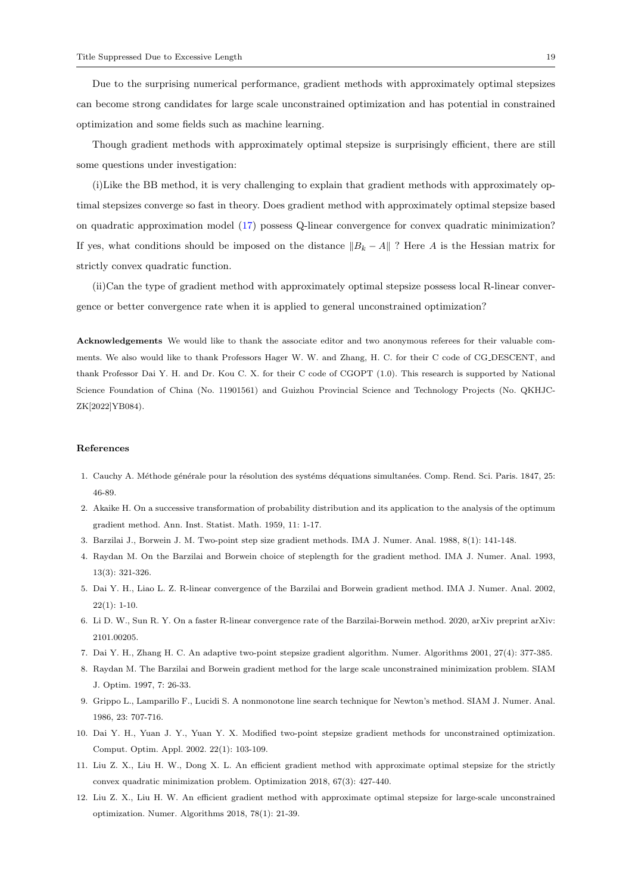Due to the surprising numerical performance, gradient methods with approximately optimal stepsizes can become strong candidates for large scale unconstrained optimization and has potential in constrained optimization and some fields such as machine learning.

Though gradient methods with approximately optimal stepsize is surprisingly efficient, there are still some questions under investigation:

(i)Like the BB method, it is very challenging to explain that gradient methods with approximately optimal stepsizes converge so fast in theory. Does gradient method with approximately optimal stepsize based on quadratic approximation model [\(17\)](#page-5-1) possess Q-linear convergence for convex quadratic minimization? If yes, what conditions should be imposed on the distance  $||B_k - A||$  ? Here A is the Hessian matrix for strictly convex quadratic function.

(ii)Can the type of gradient method with approximately optimal stepsize possess local R-linear convergence or better convergence rate when it is applied to general unconstrained optimization?

Acknowledgements We would like to thank the associate editor and two anonymous referees for their valuable comments. We also would like to thank Professors Hager W. W. and Zhang, H. C. for their C code of CG DESCENT, and thank Professor Dai Y. H. and Dr. Kou C. X. for their C code of CGOPT (1.0). This research is supported by National Science Foundation of China (No. 11901561) and Guizhou Provincial Science and Technology Projects (No. QKHJC-ZK[2022]YB084).

#### References

- <span id="page-18-0"></span>1. Cauchy A. Méthode générale pour la résolution des systéms déquations simultanées. Comp. Rend. Sci. Paris. 1847, 25: 46-89.
- <span id="page-18-1"></span>2. Akaike H. On a successive transformation of probability distribution and its application to the analysis of the optimum gradient method. Ann. Inst. Statist. Math. 1959, 11: 1-17.
- <span id="page-18-2"></span>3. Barzilai J., Borwein J. M. Two-point step size gradient methods. IMA J. Numer. Anal. 1988, 8(1): 141-148.
- <span id="page-18-3"></span>4. Raydan M. On the Barzilai and Borwein choice of steplength for the gradient method. IMA J. Numer. Anal. 1993, 13(3): 321-326.
- <span id="page-18-4"></span>5. Dai Y. H., Liao L. Z. R-linear convergence of the Barzilai and Borwein gradient method. IMA J. Numer. Anal. 2002,  $22(1): 1-10.$
- <span id="page-18-5"></span>6. Li D. W., Sun R. Y. On a faster R-linear convergence rate of the Barzilai-Borwein method. 2020, arXiv preprint arXiv: 2101.00205.
- <span id="page-18-8"></span>7. Dai Y. H., Zhang H. C. An adaptive two-point stepsize gradient algorithm. Numer. Algorithms 2001, 27(4): 377-385.
- <span id="page-18-6"></span>8. Raydan M. The Barzilai and Borwein gradient method for the large scale unconstrained minimization problem. SIAM J. Optim. 1997, 7: 26-33.
- <span id="page-18-7"></span>9. Grippo L., Lamparillo F., Lucidi S. A nonmonotone line search technique for Newton's method. SIAM J. Numer. Anal. 1986, 23: 707-716.
- <span id="page-18-9"></span>10. Dai Y. H., Yuan J. Y., Yuan Y. X. Modified two-point stepsize gradient methods for unconstrained optimization. Comput. Optim. Appl. 2002. 22(1): 103-109.
- <span id="page-18-10"></span>11. Liu Z. X., Liu H. W., Dong X. L. An efficient gradient method with approximate optimal stepsize for the strictly convex quadratic minimization problem. Optimization 2018, 67(3): 427-440.
- <span id="page-18-11"></span>12. Liu Z. X., Liu H. W. An efficient gradient method with approximate optimal stepsize for large-scale unconstrained optimization. Numer. Algorithms 2018, 78(1): 21-39.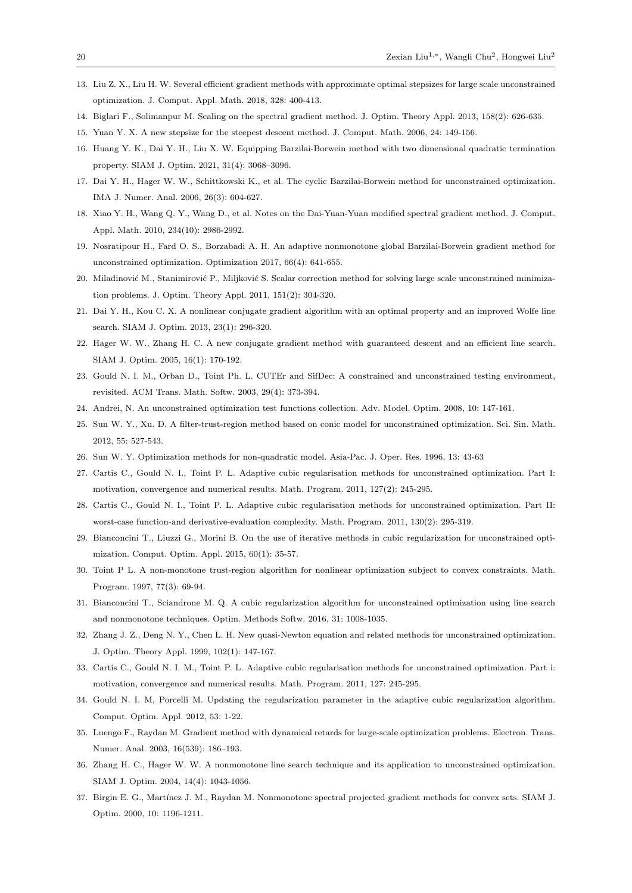- <span id="page-19-0"></span>13. Liu Z. X., Liu H. W. Several efficient gradient methods with approximate optimal stepsizes for large scale unconstrained optimization. J. Comput. Appl. Math. 2018, 328: 400-413.
- <span id="page-19-1"></span>14. Biglari F., Solimanpur M. Scaling on the spectral gradient method. J. Optim. Theory Appl. 2013, 158(2): 626-635.
- <span id="page-19-2"></span>15. Yuan Y. X. A new stepsize for the steepest descent method. J. Comput. Math. 2006, 24: 149-156.
- <span id="page-19-3"></span>16. Huang Y. K., Dai Y. H., Liu X. W. Equipping Barzilai-Borwein method with two dimensional quadratic termination property. SIAM J. Optim. 2021, 31(4): 3068–3096.
- <span id="page-19-4"></span>17. Dai Y. H., Hager W. W., Schittkowski K., et al. The cyclic Barzilai-Borwein method for unconstrained optimization. IMA J. Numer. Anal. 2006, 26(3): 604-627.
- 18. Xiao Y. H., Wang Q. Y., Wang D., et al. Notes on the Dai-Yuan-Yuan modified spectral gradient method. J. Comput. Appl. Math. 2010, 234(10): 2986-2992.
- 19. Nosratipour H., Fard O. S., Borzabadi A. H. An adaptive nonmonotone global Barzilai-Borwein gradient method for unconstrained optimization. Optimization 2017, 66(4): 641-655.
- <span id="page-19-5"></span>20. Miladinović M., Stanimirović P., Miljković S. Scalar correction method for solving large scale unconstrained minimization problems. J. Optim. Theory Appl. 2011, 151(2): 304-320.
- <span id="page-19-6"></span>21. Dai Y. H., Kou C. X. A nonlinear conjugate gradient algorithm with an optimal property and an improved Wolfe line search. SIAM J. Optim. 2013, 23(1): 296-320.
- <span id="page-19-7"></span>22. Hager W. W., Zhang H. C. A new conjugate gradient method with guaranteed descent and an efficient line search. SIAM J. Optim. 2005, 16(1): 170-192.
- <span id="page-19-8"></span>23. Gould N. I. M., Orban D., Toint Ph. L. CUTEr and SifDec: A constrained and unconstrained testing environment, revisited. ACM Trans. Math. Softw. 2003, 29(4): 373-394.
- <span id="page-19-9"></span>24. Andrei, N. An unconstrained optimization test functions collection. Adv. Model. Optim. 2008, 10: 147-161.
- <span id="page-19-10"></span>25. Sun W. Y., Xu. D. A filter-trust-region method based on conic model for unconstrained optimization. Sci. Sin. Math. 2012, 55: 527-543.
- <span id="page-19-11"></span>26. Sun W. Y. Optimization methods for non-quadratic model. Asia-Pac. J. Oper. Res. 1996, 13: 43-63
- <span id="page-19-12"></span>27. Cartis C., Gould N. I., Toint P. L. Adaptive cubic regularisation methods for unconstrained optimization. Part I: motivation, convergence and numerical results. Math. Program. 2011, 127(2): 245-295.
- <span id="page-19-13"></span>28. Cartis C., Gould N. I., Toint P. L. Adaptive cubic regularisation methods for unconstrained optimization. Part II: worst-case function-and derivative-evaluation complexity. Math. Program. 2011, 130(2): 295-319.
- <span id="page-19-14"></span>29. Bianconcini T., Liuzzi G., Morini B. On the use of iterative methods in cubic regularization for unconstrained optimization. Comput. Optim. Appl. 2015, 60(1): 35-57.
- 30. Toint P L. A non-monotone trust-region algorithm for nonlinear optimization subject to convex constraints. Math. Program. 1997, 77(3): 69-94.
- <span id="page-19-15"></span>31. Bianconcini T., Sciandrone M. Q. A cubic regularization algorithm for unconstrained optimization using line search and nonmonotone techniques. Optim. Methods Softw. 2016, 31: 1008-1035.
- <span id="page-19-16"></span>32. Zhang J. Z., Deng N. Y., Chen L. H. New quasi-Newton equation and related methods for unconstrained optimization. J. Optim. Theory Appl. 1999, 102(1): 147-167.
- <span id="page-19-17"></span>33. Cartis C., Gould N. I. M., Toint P. L. Adaptive cubic regularisation methods for unconstrained optimization. Part i: motivation, convergence and numerical results. Math. Program. 2011, 127: 245-295.
- <span id="page-19-18"></span>34. Gould N. I. M, Porcelli M. Updating the regularization parameter in the adaptive cubic regularization algorithm. Comput. Optim. Appl. 2012, 53: 1-22.
- <span id="page-19-19"></span>35. Luengo F., Raydan M. Gradient method with dynamical retards for large-scale optimization problems. Electron. Trans. Numer. Anal. 2003, 16(539): 186–193.
- <span id="page-19-20"></span>36. Zhang H. C., Hager W. W. A nonmonotone line search technique and its application to unconstrained optimization. SIAM J. Optim. 2004, 14(4): 1043-1056.
- <span id="page-19-21"></span>37. Birgin E. G., Martínez J. M., Raydan M. Nonmonotone spectral projected gradient methods for convex sets. SIAM J. Optim. 2000, 10: 1196-1211.